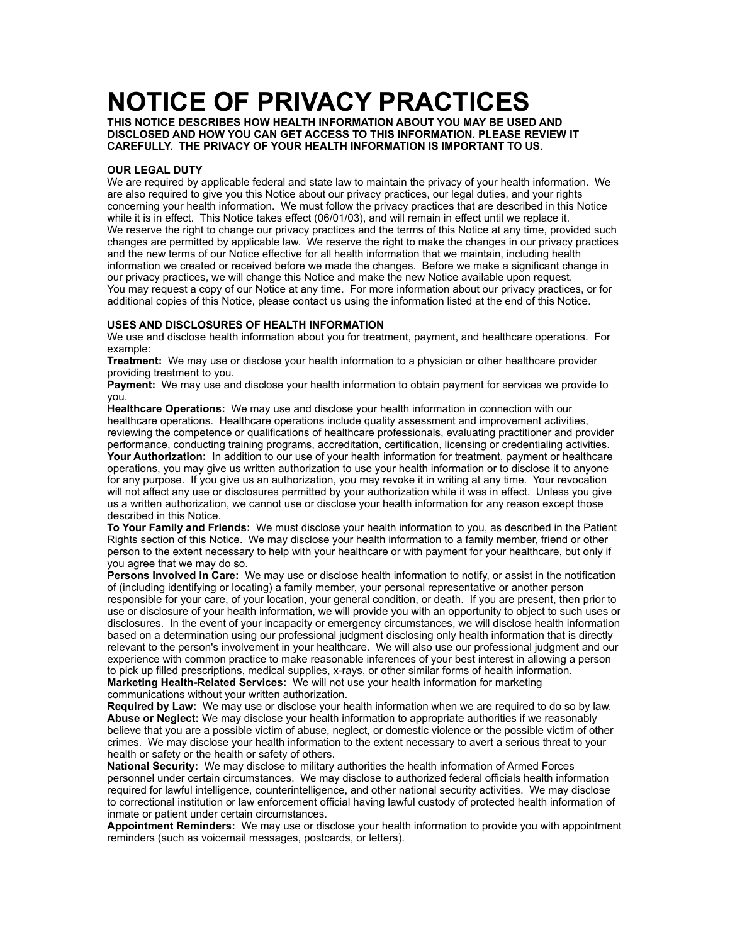# **NOTICE OF PRIVACY PRACTICES**

**THIS NOTICE DESCRIBES HOW HEALTH INFORMATION ABOUT YOU MAY BE USED AND DISCLOSED AND HOW YOU CAN GET ACCESS TO THIS INFORMATION. PLEASE REVIEW IT CAREFULLY. THE PRIVACY OF YOUR HEALTH INFORMATION IS IMPORTANT TO US.** 

### **OUR LEGAL DUTY**

We are required by applicable federal and state law to maintain the privacy of your health information. We are also required to give you this Notice about our privacy practices, our legal duties, and your rights concerning your health information. We must follow the privacy practices that are described in this Notice while it is in effect. This Notice takes effect (06/01/03), and will remain in effect until we replace it. We reserve the right to change our privacy practices and the terms of this Notice at any time, provided such changes are permitted by applicable law. We reserve the right to make the changes in our privacy practices and the new terms of our Notice effective for all health information that we maintain, including health information we created or received before we made the changes. Before we make a significant change in our privacy practices, we will change this Notice and make the new Notice available upon request. You may request a copy of our Notice at any time. For more information about our privacy practices, or for additional copies of this Notice, please contact us using the information listed at the end of this Notice.

## **USES AND DISCLOSURES OF HEALTH INFORMATION**

We use and disclose health information about you for treatment, payment, and healthcare operations. For example:

**Treatment:** We may use or disclose your health information to a physician or other healthcare provider providing treatment to you.

**Payment:** We may use and disclose your health information to obtain payment for services we provide to you.

**Healthcare Operations:** We may use and disclose your health information in connection with our healthcare operations. Healthcare operations include quality assessment and improvement activities, reviewing the competence or qualifications of healthcare professionals, evaluating practitioner and provider performance, conducting training programs, accreditation, certification, licensing or credentialing activities. **Your Authorization:** In addition to our use of your health information for treatment, payment or healthcare operations, you may give us written authorization to use your health information or to disclose it to anyone for any purpose. If you give us an authorization, you may revoke it in writing at any time. Your revocation will not affect any use or disclosures permitted by your authorization while it was in effect. Unless you give us a written authorization, we cannot use or disclose your health information for any reason except those described in this Notice.

**To Your Family and Friends:** We must disclose your health information to you, as described in the Patient Rights section of this Notice. We may disclose your health information to a family member, friend or other person to the extent necessary to help with your healthcare or with payment for your healthcare, but only if you agree that we may do so.

**Persons Involved In Care:** We may use or disclose health information to notify, or assist in the notification of (including identifying or locating) a family member, your personal representative or another person responsible for your care, of your location, your general condition, or death. If you are present, then prior to use or disclosure of your health information, we will provide you with an opportunity to object to such uses or disclosures. In the event of your incapacity or emergency circumstances, we will disclose health information based on a determination using our professional judgment disclosing only health information that is directly relevant to the person's involvement in your healthcare. We will also use our professional judgment and our experience with common practice to make reasonable inferences of your best interest in allowing a person to pick up filled prescriptions, medical supplies, x-rays, or other similar forms of health information. **Marketing Health-Related Services:** We will not use your health information for marketing communications without your written authorization.

**Required by Law:** We may use or disclose your health information when we are required to do so by law. **Abuse or Neglect:** We may disclose your health information to appropriate authorities if we reasonably believe that you are a possible victim of abuse, neglect, or domestic violence or the possible victim of other crimes. We may disclose your health information to the extent necessary to avert a serious threat to your health or safety or the health or safety of others.

**National Security:** We may disclose to military authorities the health information of Armed Forces personnel under certain circumstances. We may disclose to authorized federal officials health information required for lawful intelligence, counterintelligence, and other national security activities. We may disclose to correctional institution or law enforcement official having lawful custody of protected health information of inmate or patient under certain circumstances.

**Appointment Reminders:** We may use or disclose your health information to provide you with appointment reminders (such as voicemail messages, postcards, or letters).